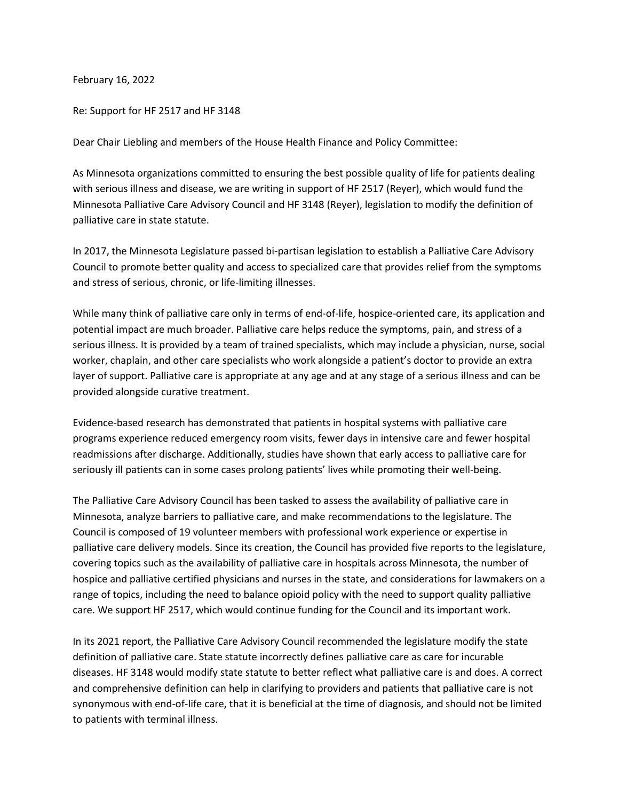February 16, 2022

Re: Support for HF 2517 and HF 3148

Dear Chair Liebling and members of the House Health Finance and Policy Committee:

As Minnesota organizations committed to ensuring the best possible quality of life for patients dealing with serious illness and disease, we are writing in support of HF 2517 (Reyer), which would fund the Minnesota Palliative Care Advisory Council and HF 3148 (Reyer), legislation to modify the definition of palliative care in state statute.

In 2017, the Minnesota Legislature passed bi-partisan legislation to establish a Palliative Care Advisory Council to promote better quality and access to specialized care that provides relief from the symptoms and stress of serious, chronic, or life-limiting illnesses.

While many think of palliative care only in terms of end-of-life, hospice-oriented care, its application and potential impact are much broader. Palliative care helps reduce the symptoms, pain, and stress of a serious illness. It is provided by a team of trained specialists, which may include a physician, nurse, social worker, chaplain, and other care specialists who work alongside a patient's doctor to provide an extra layer of support. Palliative care is appropriate at any age and at any stage of a serious illness and can be provided alongside curative treatment.

Evidence-based research has demonstrated that patients in hospital systems with palliative care programs experience reduced emergency room visits, fewer days in intensive care and fewer hospital readmissions after discharge. Additionally, studies have shown that early access to palliative care for seriously ill patients can in some cases prolong patients' lives while promoting their well-being.

The Palliative Care Advisory Council has been tasked to assess the availability of palliative care in Minnesota, analyze barriers to palliative care, and make recommendations to the legislature. The Council is composed of 19 volunteer members with professional work experience or expertise in palliative care delivery models. Since its creation, the Council has provided five reports to the legislature, covering topics such as the availability of palliative care in hospitals across Minnesota, the number of hospice and palliative certified physicians and nurses in the state, and considerations for lawmakers on a range of topics, including the need to balance opioid policy with the need to support quality palliative care. We support HF 2517, which would continue funding for the Council and its important work.

In its 2021 report, the Palliative Care Advisory Council recommended the legislature modify the state definition of palliative care. State statute incorrectly defines palliative care as care for incurable diseases. HF 3148 would modify state statute to better reflect what palliative care is and does. A correct and comprehensive definition can help in clarifying to providers and patients that palliative care is not synonymous with end-of-life care, that it is beneficial at the time of diagnosis, and should not be limited to patients with terminal illness.